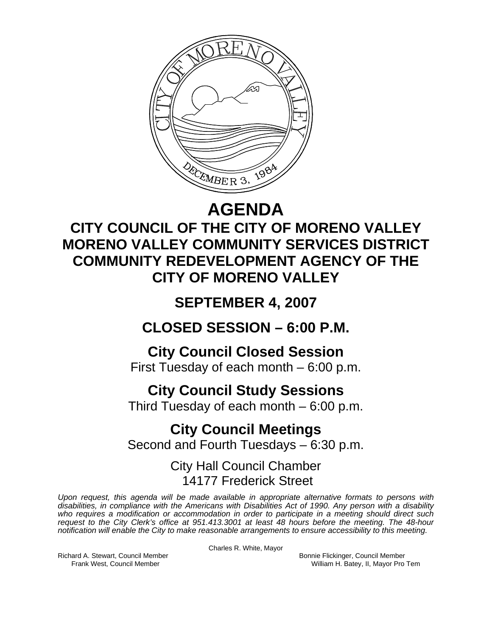

## **AGENDA**

## **CITY COUNCIL OF THE CITY OF MORENO VALLEY MORENO VALLEY COMMUNITY SERVICES DISTRICT COMMUNITY REDEVELOPMENT AGENCY OF THE CITY OF MORENO VALLEY**

## **SEPTEMBER 4, 2007**

## **CLOSED SESSION – 6:00 P.M.**

## **City Council Closed Session**

First Tuesday of each month – 6:00 p.m.

## **City Council Study Sessions**

Third Tuesday of each month – 6:00 p.m.

# **City Council Meetings**

Second and Fourth Tuesdays – 6:30 p.m.

## City Hall Council Chamber 14177 Frederick Street

*Upon request, this agenda will be made available in appropriate alternative formats to persons with disabilities, in compliance with the Americans with Disabilities Act of 1990. Any person with a disability who requires a modification or accommodation in order to participate in a meeting should direct such request to the City Clerk's office at 951.413.3001 at least 48 hours before the meeting. The 48-hour notification will enable the City to make reasonable arrangements to ensure accessibility to this meeting.* 

Charles R. White, Mayor

Richard A. Stewart, Council Member Bonnie Flickinger, Council Member

Frank West, Council Member William H. Batey, II, Mayor Pro Tem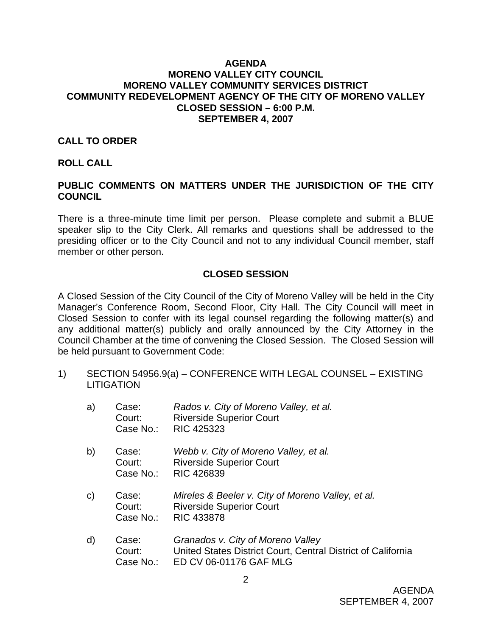### **AGENDA MORENO VALLEY CITY COUNCIL MORENO VALLEY COMMUNITY SERVICES DISTRICT COMMUNITY REDEVELOPMENT AGENCY OF THE CITY OF MORENO VALLEY CLOSED SESSION – 6:00 P.M. SEPTEMBER 4, 2007**

### **CALL TO ORDER**

### **ROLL CALL**

### **PUBLIC COMMENTS ON MATTERS UNDER THE JURISDICTION OF THE CITY COUNCIL**

There is a three-minute time limit per person. Please complete and submit a BLUE speaker slip to the City Clerk. All remarks and questions shall be addressed to the presiding officer or to the City Council and not to any individual Council member, staff member or other person.

### **CLOSED SESSION**

A Closed Session of the City Council of the City of Moreno Valley will be held in the City Manager's Conference Room, Second Floor, City Hall. The City Council will meet in Closed Session to confer with its legal counsel regarding the following matter(s) and any additional matter(s) publicly and orally announced by the City Attorney in the Council Chamber at the time of convening the Closed Session. The Closed Session will be held pursuant to Government Code:

1) SECTION 54956.9(a) – CONFERENCE WITH LEGAL COUNSEL – EXISTING **LITIGATION** 

| a) | Case:<br>Court:<br>Case No.: | Rados v. City of Moreno Valley, et al.<br><b>Riverside Superior Court</b><br><b>RIC 425323</b>            |
|----|------------------------------|-----------------------------------------------------------------------------------------------------------|
| b) | Case:<br>Court:<br>Case No.: | Webb v. City of Moreno Valley, et al.<br><b>Riverside Superior Court</b><br>RIC 426839                    |
| C) | Case:<br>Court:<br>Case No.: | Mireles & Beeler v. City of Moreno Valley, et al.<br><b>Riverside Superior Court</b><br><b>RIC 433878</b> |
| d) | Case:<br>Court:              | Granados v. City of Moreno Valley<br>United States District Court, Central District of California         |

Case No.: ED CV 06-01176 GAF MLG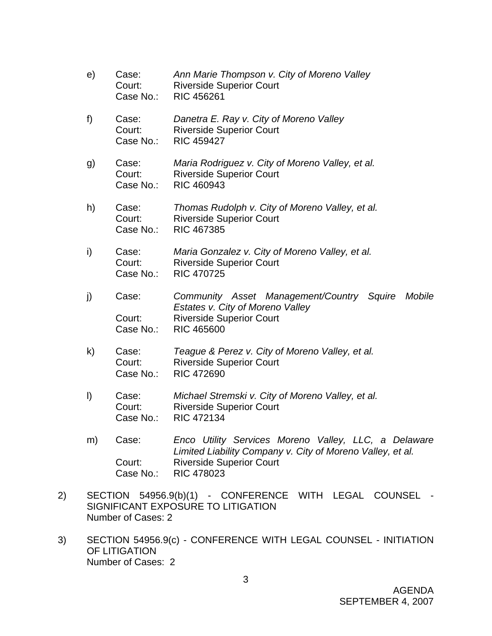- e) Case: *Ann Marie Thompson v. City of Moreno Valley* Court: Riverside Superior Court Case No.: RIC 456261 f) Case: *Danetra E. Ray v. City of Moreno Valley* Court: Riverside Superior Court Case No.: RIC 459427 g) Case: *Maria Rodriguez v. City of Moreno Valley, et al.* Court: Riverside Superior Court Case No.: RIC 460943 h) Case: *Thomas Rudolph v. City of Moreno Valley, et al.*  Court: Riverside Superior Court Case No.: RIC 467385 i) Case: *Maria Gonzalez v. City of Moreno Valley, et al.*  Court: Riverside Superior Court Case No.: RIC 470725 j) Case: *Community Asset Management/Country Squire Mobile Estates v. City of Moreno Valley*  Court: Riverside Superior Court Case No.: RIC 465600 k) Case: *Teague & Perez v. City of Moreno Valley, et al.*  Court: Riverside Superior Court Case No.: RIC 472690 l) Case: *Michael Stremski v. City of Moreno Valley, et al.*  Court: Riverside Superior Court Case No.: RIC 472134 m) Case: *Enco Utility Services Moreno Valley, LLC, a Delaware*
- *Limited Liability Company v. City of Moreno Valley, et al.*  Court: Riverside Superior Court Case No.: RIC 478023
- 2) SECTION 54956.9(b)(1) CONFERENCE WITH LEGAL COUNSEL SIGNIFICANT EXPOSURE TO LITIGATION Number of Cases: 2
- 3) SECTION 54956.9(c) CONFERENCE WITH LEGAL COUNSEL INITIATION OF LITIGATION Number of Cases: 2